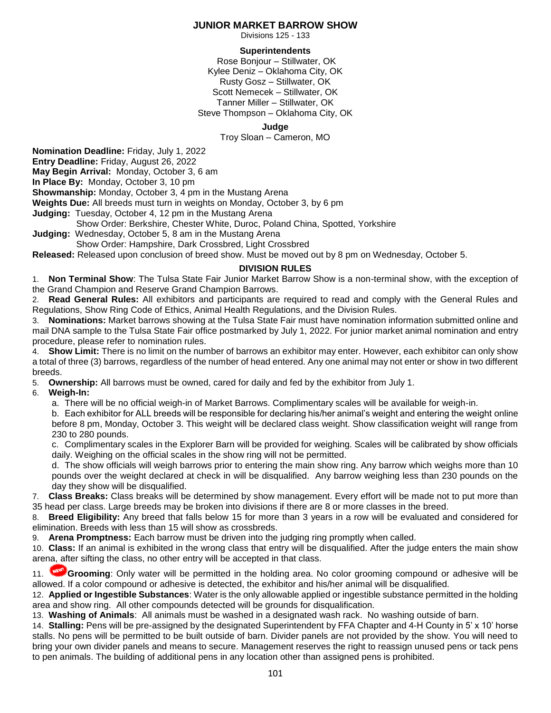### **JUNIOR MARKET BARROW SHOW**

Divisions 125 - 133

### **Superintendents**

Rose Bonjour – Stillwater, OK Kylee Deniz – Oklahoma City, OK Rusty Gosz – Stillwater, OK Scott Nemecek – Stillwater, OK Tanner Miller – Stillwater, OK Steve Thompson – Oklahoma City, OK

#### **Judge**

Troy Sloan – Cameron, MO

**Nomination Deadline:** Friday, July 1, 2022

**Entry Deadline:** Friday, August 26, 2022

**May Begin Arrival:** Monday, October 3, 6 am

**In Place By:** Monday, October 3, 10 pm

**Showmanship:** Monday, October 3, 4 pm in the Mustang Arena

**Weights Due:** All breeds must turn in weights on Monday, October 3, by 6 pm

**Judging:** Tuesday, October 4, 12 pm in the Mustang Arena

Show Order: Berkshire, Chester White, Duroc, Poland China, Spotted, Yorkshire

**Judging:** Wednesday, October 5, 8 am in the Mustang Arena Show Order: Hampshire, Dark Crossbred, Light Crossbred

**Released:** Released upon conclusion of breed show. Must be moved out by 8 pm on Wednesday, October 5.

# **DIVISION RULES**

1. **Non Terminal Show**: The Tulsa State Fair Junior Market Barrow Show is a non-terminal show, with the exception of the Grand Champion and Reserve Grand Champion Barrows.

2. **Read General Rules:** All exhibitors and participants are required to read and comply with the General Rules and Regulations, Show Ring Code of Ethics, Animal Health Regulations, and the Division Rules.

3. **Nominations:** Market barrows showing at the Tulsa State Fair must have nomination information submitted online and mail DNA sample to the Tulsa State Fair office postmarked by July 1, 2022. For junior market animal nomination and entry procedure, please refer to nomination rules.

4. **Show Limit:** There is no limit on the number of barrows an exhibitor may enter. However, each exhibitor can only show a total of three (3) barrows, regardless of the number of head entered. Any one animal may not enter or show in two different breeds.

5. **Ownership:** All barrows must be owned, cared for daily and fed by the exhibitor from July 1.

#### 6. **Weigh-In:**

a. There will be no official weigh-in of Market Barrows. Complimentary scales will be available for weigh-in.

b. Each exhibitor for ALL breeds will be responsible for declaring his/her animal's weight and entering the weight online before 8 pm, Monday, October 3. This weight will be declared class weight. Show classification weight will range from 230 to 280 pounds.

c. Complimentary scales in the Explorer Barn will be provided for weighing. Scales will be calibrated by show officials daily. Weighing on the official scales in the show ring will not be permitted.

d. The show officials will weigh barrows prior to entering the main show ring. Any barrow which weighs more than 10 pounds over the weight declared at check in will be disqualified. Any barrow weighing less than 230 pounds on the day they show will be disqualified.

7. **Class Breaks:** Class breaks will be determined by show management. Every effort will be made not to put more than 35 head per class. Large breeds may be broken into divisions if there are 8 or more classes in the breed.

8. **Breed Eligibility:** Any breed that falls below 15 for more than 3 years in a row will be evaluated and considered for elimination. Breeds with less than 15 will show as crossbreds.

9. **Arena Promptness:** Each barrow must be driven into the judging ring promptly when called.

10. **Class:** If an animal is exhibited in the wrong class that entry will be disqualified. After the judge enters the main show arena, after sifting the class, no other entry will be accepted in that class.

11. **Grooming**: Only water will be permitted in the holding area. No color grooming compound or adhesive will be allowed. If a color compound or adhesive is detected, the exhibitor and his/her animal will be disqualified.

12. **Applied or Ingestible Substances**: Water is the only allowable applied or ingestible substance permitted in the holding area and show ring. All other compounds detected will be grounds for disqualification.

13. **Washing of Animals**: All animals must be washed in a designated wash rack. No washing outside of barn.

14. **Stalling:** Pens will be pre-assigned by the designated Superintendent by FFA Chapter and 4-H County in 5' x 10' horse stalls. No pens will be permitted to be built outside of barn. Divider panels are not provided by the show. You will need to bring your own divider panels and means to secure. Management reserves the right to reassign unused pens or tack pens to pen animals. The building of additional pens in any location other than assigned pens is prohibited.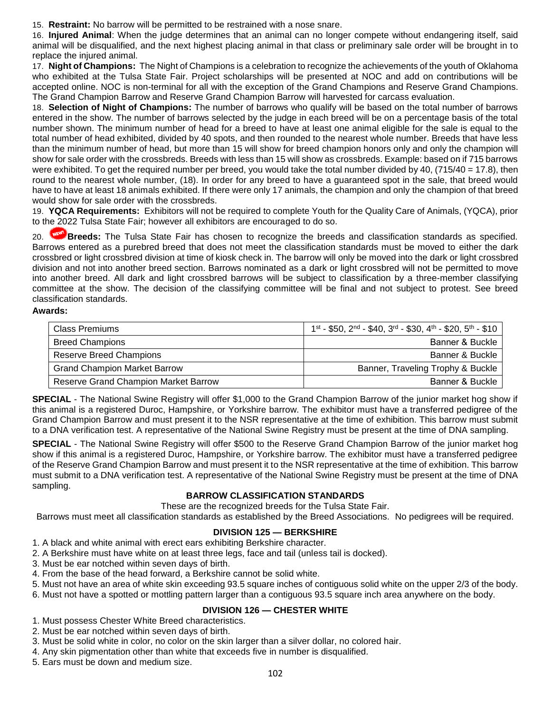15. **Restraint:** No barrow will be permitted to be restrained with a nose snare.

16. **Injured Animal**: When the judge determines that an animal can no longer compete without endangering itself, said animal will be disqualified, and the next highest placing animal in that class or preliminary sale order will be brought in to replace the injured animal.

17. **Night of Champions:** The Night of Champions is a celebration to recognize the achievements of the youth of Oklahoma who exhibited at the Tulsa State Fair. Project scholarships will be presented at NOC and add on contributions will be accepted online. NOC is non-terminal for all with the exception of the Grand Champions and Reserve Grand Champions. The Grand Champion Barrow and Reserve Grand Champion Barrow will harvested for carcass evaluation.

18. **Selection of Night of Champions:** The number of barrows who qualify will be based on the total number of barrows entered in the show. The number of barrows selected by the judge in each breed will be on a percentage basis of the total number shown. The minimum number of head for a breed to have at least one animal eligible for the sale is equal to the total number of head exhibited, divided by 40 spots, and then rounded to the nearest whole number. Breeds that have less than the minimum number of head, but more than 15 will show for breed champion honors only and only the champion will show for sale order with the crossbreds. Breeds with less than 15 will show as crossbreds. Example: based on if 715 barrows were exhibited. To get the required number per breed, you would take the total number divided by 40, (715/40 = 17.8), then round to the nearest whole number, (18). In order for any breed to have a guaranteed spot in the sale, that breed would have to have at least 18 animals exhibited. If there were only 17 animals, the champion and only the champion of that breed would show for sale order with the crossbreds.

19. **YQCA Requirements:** Exhibitors will not be required to complete Youth for the Quality Care of Animals, (YQCA), prior to the 2022 Tulsa State Fair; however all exhibitors are encouraged to do so.

20. **Breeds:** The Tulsa State Fair has chosen to recognize the breeds and classification standards as specified. Barrows entered as a purebred breed that does not meet the classification standards must be moved to either the dark crossbred or light crossbred division at time of kiosk check in. The barrow will only be moved into the dark or light crossbred division and not into another breed section. Barrows nominated as a dark or light crossbred will not be permitted to move into another breed. All dark and light crossbred barrows will be subject to classification by a three-member classifying committee at the show. The decision of the classifying committee will be final and not subject to protest. See breed classification standards.

#### **Awards:**

| <b>Class Premiums</b>                       | $1st$ - \$50, 2 <sup>nd</sup> - \$40, 3 <sup>rd</sup> - \$30, 4 <sup>th</sup> - \$20, 5 <sup>th</sup> - \$10 |
|---------------------------------------------|--------------------------------------------------------------------------------------------------------------|
| <b>Breed Champions</b>                      | Banner & Buckle                                                                                              |
| Reserve Breed Champions                     | Banner & Buckle                                                                                              |
| <b>Grand Champion Market Barrow</b>         | Banner, Traveling Trophy & Buckle                                                                            |
| <b>Reserve Grand Champion Market Barrow</b> | Banner & Buckle                                                                                              |

**SPECIAL** - The National Swine Registry will offer \$1,000 to the Grand Champion Barrow of the junior market hog show if this animal is a registered Duroc, Hampshire, or Yorkshire barrow. The exhibitor must have a transferred pedigree of the Grand Champion Barrow and must present it to the NSR representative at the time of exhibition. This barrow must submit to a DNA verification test. A representative of the National Swine Registry must be present at the time of DNA sampling.

**SPECIAL** - The National Swine Registry will offer \$500 to the Reserve Grand Champion Barrow of the junior market hog show if this animal is a registered Duroc, Hampshire, or Yorkshire barrow. The exhibitor must have a transferred pedigree of the Reserve Grand Champion Barrow and must present it to the NSR representative at the time of exhibition. This barrow must submit to a DNA verification test. A representative of the National Swine Registry must be present at the time of DNA sampling.

### **BARROW CLASSIFICATION STANDARDS**

These are the recognized breeds for the Tulsa State Fair.

Barrows must meet all classification standards as established by the Breed Associations. No pedigrees will be required.

#### **DIVISION 125 — BERKSHIRE**

1. A black and white animal with erect ears exhibiting Berkshire character.

2. A Berkshire must have white on at least three legs, face and tail (unless tail is docked).

3. Must be ear notched within seven days of birth.

4. From the base of the head forward, a Berkshire cannot be solid white.

5. Must not have an area of white skin exceeding 93.5 square inches of contiguous solid white on the upper 2/3 of the body.

6. Must not have a spotted or mottling pattern larger than a contiguous 93.5 square inch area anywhere on the body.

### **DIVISION 126 — CHESTER WHITE**

- 1. Must possess Chester White Breed characteristics.
- 2. Must be ear notched within seven days of birth.
- 3. Must be solid white in color, no color on the skin larger than a silver dollar, no colored hair.
- 4. Any skin pigmentation other than white that exceeds five in number is disqualified.
- 5. Ears must be down and medium size.